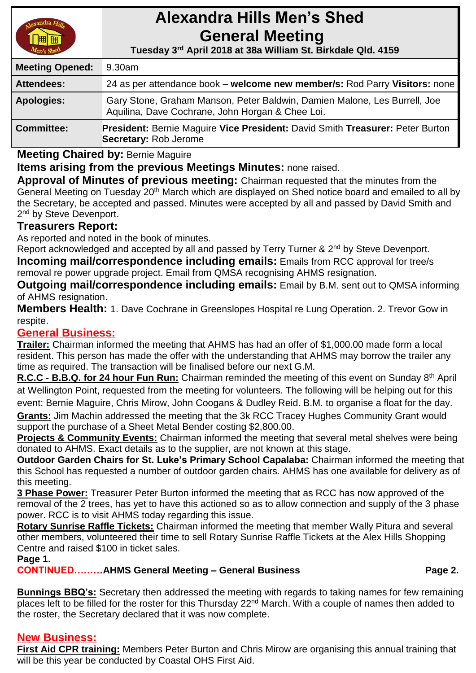# **Alexandra Hills Men's Shed General Meeting**

 **Tuesday 3 rd April 2018 at 38a William St. Birkdale Qld. 4159** 

| <b>Meeting Opened:</b> | 9.30am                                                                                                                        |
|------------------------|-------------------------------------------------------------------------------------------------------------------------------|
| <b>Attendees:</b>      | 24 as per attendance book – welcome new member/s: Rod Parry Visitors: none                                                    |
| <b>Apologies:</b>      | Gary Stone, Graham Manson, Peter Baldwin, Damien Malone, Les Burrell, Joe<br>Aquilina, Dave Cochrane, John Horgan & Chee Loi. |
| <b>Committee:</b>      | President: Bernie Maguire Vice President: David Smith Treasurer: Peter Burton<br>Secretary: Rob Jerome                        |

**Meeting Chaired by:** Bernie Maguire

**Items arising from the previous Meetings Minutes:** none raised.

**Approval of Minutes of previous meeting:** Chairman requested that the minutes from the General Meeting on Tuesday 20<sup>th</sup> March which are displayed on Shed notice board and emailed to all by the Secretary, be accepted and passed. Minutes were accepted by all and passed by David Smith and 2<sup>nd</sup> by Steve Devenport.

#### **Treasurers Report:**

As reported and noted in the book of minutes.

Report acknowledged and accepted by all and passed by Terry Turner & 2<sup>nd</sup> by Steve Devenport.

**Incoming mail/correspondence including emails:** Emails from RCC approval for tree/s removal re power upgrade project. Email from QMSA recognising AHMS resignation.

**Outgoing mail/correspondence including emails:** Email by B.M. sent out to QMSA informing of AHMS resignation.

**Members Health:** 1. Dave Cochrane in Greenslopes Hospital re Lung Operation. 2. Trevor Gow in respite.

#### **General Business:**

**Trailer:** Chairman informed the meeting that AHMS has had an offer of \$1,000.00 made form a local resident. This person has made the offer with the understanding that AHMS may borrow the trailer any time as required. The transaction will be finalised before our next G.M.

**R.C.C - B.B.Q. for 24 hour Fun Run:** Chairman reminded the meeting of this event on Sunday 8th April at Wellington Point, requested from the meeting for volunteers. The following will be helping out for this event: Bernie Maguire, Chris Mirow, John Coogans & Dudley Reid. B.M. to organise a float for the day. **Grants:** Jim Machin addressed the meeting that the 3k RCC Tracey Hughes Community Grant would

support the purchase of a Sheet Metal Bender costing \$2,800.00.

**Projects & Community Events:** Chairman informed the meeting that several metal shelves were being donated to AHMS. Exact details as to the supplier, are not known at this stage.

**Outdoor Garden Chairs for St. Luke's Primary School Capalaba:** Chairman informed the meeting that this School has requested a number of outdoor garden chairs. AHMS has one available for delivery as of this meeting.

**3 Phase Power:** Treasurer Peter Burton informed the meeting that as RCC has now approved of the removal of the 2 trees, has yet to have this actioned so as to allow connection and supply of the 3 phase power. RCC is to visit AHMS today regarding this issue.

**Rotary Sunrise Raffle Tickets:** Chairman informed the meeting that member Wally Pitura and several other members, volunteered their time to sell Rotary Sunrise Raffle Tickets at the Alex Hills Shopping Centre and raised \$100 in ticket sales.

**Page 1.**

**CONTINUED………AHMS General Meeting – General Business Page 2.**

**Bunnings BBQ's:** Secretary then addressed the meeting with regards to taking names for few remaining places left to be filled for the roster for this Thursday 22<sup>nd</sup> March. With a couple of names then added to the roster, the Secretary declared that it was now complete.

### **New Business:**

**First Aid CPR training:** Members Peter Burton and Chris Mirow are organising this annual training that will be this year be conducted by Coastal OHS First Aid.